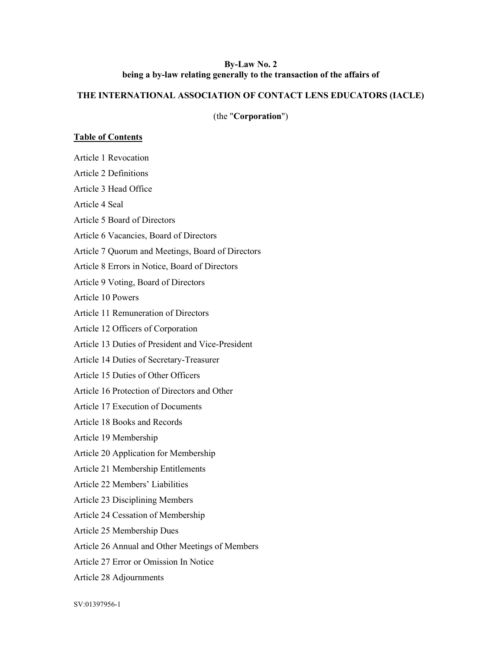### By-Law No. 2 being a by-law relating generally to the transaction of the affairs of

# THE INTERNATIONAL ASSOCIATION OF CONTACT LENS EDUCATORS (IACLE)

(the "Corporation")

# Table of Contents

| Article 1 Revocation                              |
|---------------------------------------------------|
| <b>Article 2 Definitions</b>                      |
| Article 3 Head Office                             |
| Article 4 Seal                                    |
| Article 5 Board of Directors                      |
| Article 6 Vacancies, Board of Directors           |
| Article 7 Quorum and Meetings, Board of Directors |
| Article 8 Errors in Notice, Board of Directors    |
| Article 9 Voting, Board of Directors              |
| Article 10 Powers                                 |
| Article 11 Remuneration of Directors              |
| Article 12 Officers of Corporation                |
| Article 13 Duties of President and Vice-President |
| Article 14 Duties of Secretary-Treasurer          |
| Article 15 Duties of Other Officers               |
| Article 16 Protection of Directors and Other      |
| Article 17 Execution of Documents                 |
| Article 18 Books and Records                      |
| Article 19 Membership                             |
| Article 20 Application for Membership             |
| Article 21 Membership Entitlements                |
| Article 22 Members' Liabilities                   |
| Article 23 Disciplining Members                   |
| Article 24 Cessation of Membership                |
| Article 25 Membership Dues                        |
| Article 26 Annual and Other Meetings of Members   |
| Article 27 Error or Omission In Notice            |
| Article 28 Adjournments                           |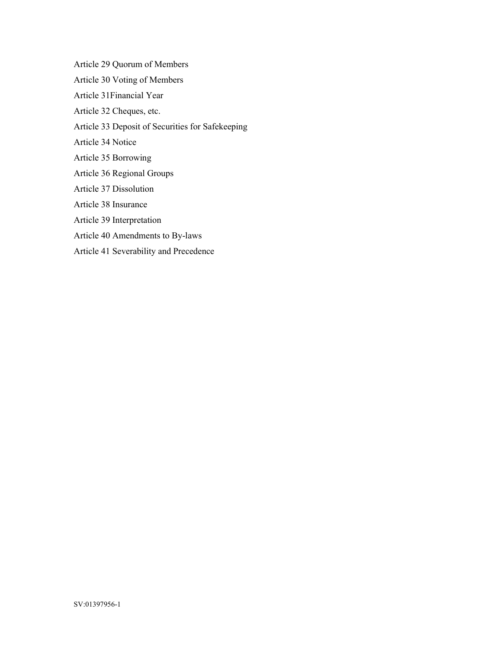Article 29 Quorum of Members Article 30 Voting of Members Article 31Financial Year Article 32 Cheques, etc. Article 33 Deposit of Securities for Safekeeping Article 34 Notice Article 35 Borrowing Article 36 Regional Groups Article 37 Dissolution Article 38 Insurance Article 39 Interpretation Article 40 Amendments to By-laws Article 41 Severability and Precedence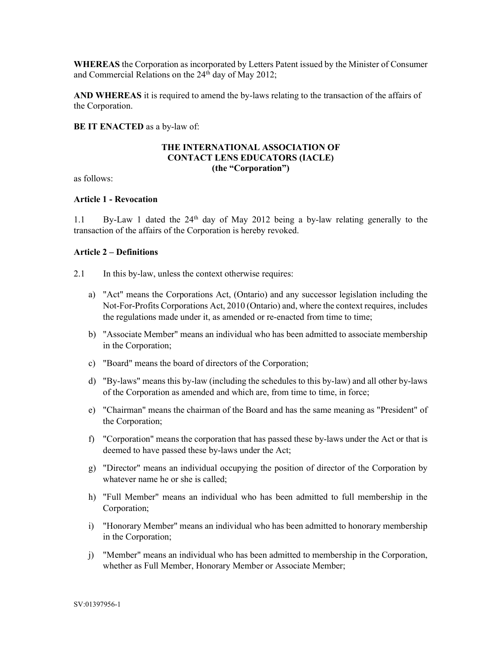WHEREAS the Corporation as incorporated by Letters Patent issued by the Minister of Consumer and Commercial Relations on the 24<sup>th</sup> day of May 2012;

AND WHEREAS it is required to amend the by-laws relating to the transaction of the affairs of the Corporation.

BE IT ENACTED as a by-law of:

#### THE INTERNATIONAL ASSOCIATION OF CONTACT LENS EDUCATORS (IACLE) (the "Corporation")

as follows:

#### Article 1 - Revocation

1.1 By-Law 1 dated the  $24<sup>th</sup>$  day of May 2012 being a by-law relating generally to the transaction of the affairs of the Corporation is hereby revoked.

#### Article 2 – Definitions

- 2.1 In this by-law, unless the context otherwise requires:
	- a) "Act" means the Corporations Act, (Ontario) and any successor legislation including the Not-For-Profits Corporations Act, 2010 (Ontario) and, where the context requires, includes the regulations made under it, as amended or re-enacted from time to time;
	- b) "Associate Member" means an individual who has been admitted to associate membership in the Corporation;
	- c) "Board" means the board of directors of the Corporation;
	- d) "By-laws" means this by-law (including the schedules to this by-law) and all other by-laws of the Corporation as amended and which are, from time to time, in force;
	- e) "Chairman" means the chairman of the Board and has the same meaning as "President" of the Corporation;
	- f) "Corporation" means the corporation that has passed these by-laws under the Act or that is deemed to have passed these by-laws under the Act;
	- g) "Director" means an individual occupying the position of director of the Corporation by whatever name he or she is called;
	- h) "Full Member" means an individual who has been admitted to full membership in the Corporation;
	- i) "Honorary Member" means an individual who has been admitted to honorary membership in the Corporation;
	- j) "Member" means an individual who has been admitted to membership in the Corporation, whether as Full Member, Honorary Member or Associate Member;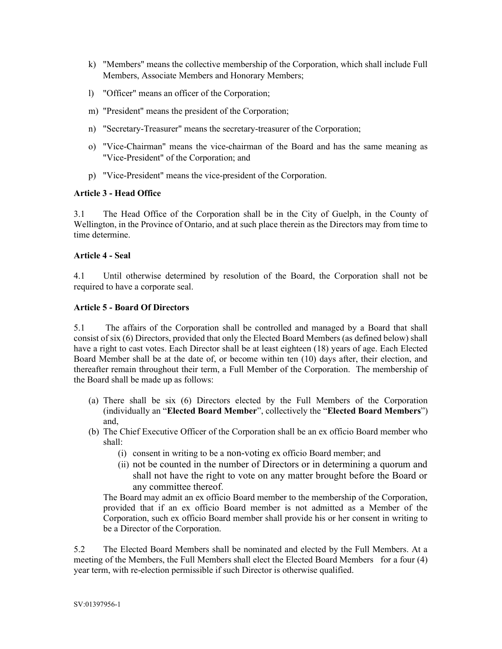- k) "Members" means the collective membership of the Corporation, which shall include Full Members, Associate Members and Honorary Members;
- l) "Officer" means an officer of the Corporation;
- m) "President" means the president of the Corporation;
- n) "Secretary-Treasurer" means the secretary-treasurer of the Corporation;
- o) "Vice-Chairman" means the vice-chairman of the Board and has the same meaning as "Vice-President" of the Corporation; and
- p) "Vice-President" means the vice-president of the Corporation.

### Article 3 - Head Office

3.1 The Head Office of the Corporation shall be in the City of Guelph, in the County of Wellington, in the Province of Ontario, and at such place therein as the Directors may from time to time determine.

## Article 4 - Seal

4.1 Until otherwise determined by resolution of the Board, the Corporation shall not be required to have a corporate seal.

### Article 5 - Board Of Directors

5.1 The affairs of the Corporation shall be controlled and managed by a Board that shall consist of six (6) Directors, provided that only the Elected Board Members (as defined below) shall have a right to cast votes. Each Director shall be at least eighteen (18) years of age. Each Elected Board Member shall be at the date of, or become within ten (10) days after, their election, and thereafter remain throughout their term, a Full Member of the Corporation. The membership of the Board shall be made up as follows:

- (a) There shall be six (6) Directors elected by the Full Members of the Corporation (individually an "Elected Board Member", collectively the "Elected Board Members") and,
- (b) The Chief Executive Officer of the Corporation shall be an ex officio Board member who shall:
	- (i) consent in writing to be a non-voting ex officio Board member; and
	- (ii) not be counted in the number of Directors or in determining a quorum and shall not have the right to vote on any matter brought before the Board or any committee thereof.

The Board may admit an ex officio Board member to the membership of the Corporation, provided that if an ex officio Board member is not admitted as a Member of the Corporation, such ex officio Board member shall provide his or her consent in writing to be a Director of the Corporation.

5.2 The Elected Board Members shall be nominated and elected by the Full Members. At a meeting of the Members, the Full Members shall elect the Elected Board Members for a four (4) year term, with re-election permissible if such Director is otherwise qualified.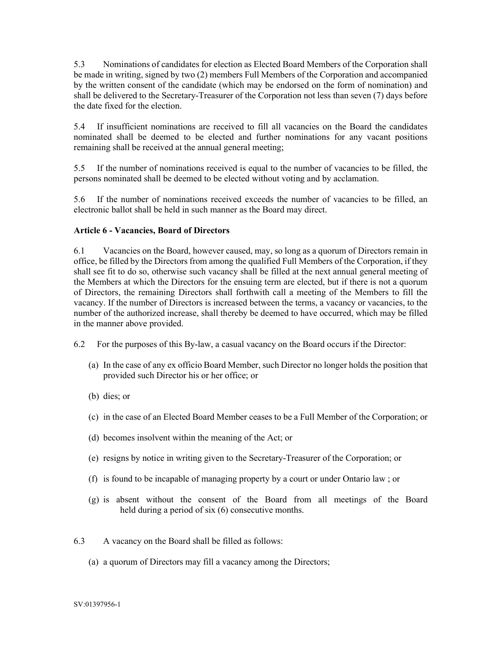5.3 Nominations of candidates for election as Elected Board Members of the Corporation shall be made in writing, signed by two (2) members Full Members of the Corporation and accompanied by the written consent of the candidate (which may be endorsed on the form of nomination) and shall be delivered to the Secretary-Treasurer of the Corporation not less than seven (7) days before the date fixed for the election.

5.4 If insufficient nominations are received to fill all vacancies on the Board the candidates nominated shall be deemed to be elected and further nominations for any vacant positions remaining shall be received at the annual general meeting;

5.5 If the number of nominations received is equal to the number of vacancies to be filled, the persons nominated shall be deemed to be elected without voting and by acclamation.

5.6 If the number of nominations received exceeds the number of vacancies to be filled, an electronic ballot shall be held in such manner as the Board may direct.

### Article 6 - Vacancies, Board of Directors

6.1 Vacancies on the Board, however caused, may, so long as a quorum of Directors remain in office, be filled by the Directors from among the qualified Full Members of the Corporation, if they shall see fit to do so, otherwise such vacancy shall be filled at the next annual general meeting of the Members at which the Directors for the ensuing term are elected, but if there is not a quorum of Directors, the remaining Directors shall forthwith call a meeting of the Members to fill the vacancy. If the number of Directors is increased between the terms, a vacancy or vacancies, to the number of the authorized increase, shall thereby be deemed to have occurred, which may be filled in the manner above provided.

- 6.2 For the purposes of this By-law, a casual vacancy on the Board occurs if the Director:
	- (a) In the case of any ex officio Board Member, such Director no longer holds the position that provided such Director his or her office; or
	- (b) dies; or
	- (c) in the case of an Elected Board Member ceases to be a Full Member of the Corporation; or
	- (d) becomes insolvent within the meaning of the Act; or
	- (e) resigns by notice in writing given to the Secretary-Treasurer of the Corporation; or
	- (f) is found to be incapable of managing property by a court or under Ontario law ; or
	- (g) is absent without the consent of the Board from all meetings of the Board held during a period of six (6) consecutive months.
- 6.3 A vacancy on the Board shall be filled as follows:
	- (a) a quorum of Directors may fill a vacancy among the Directors;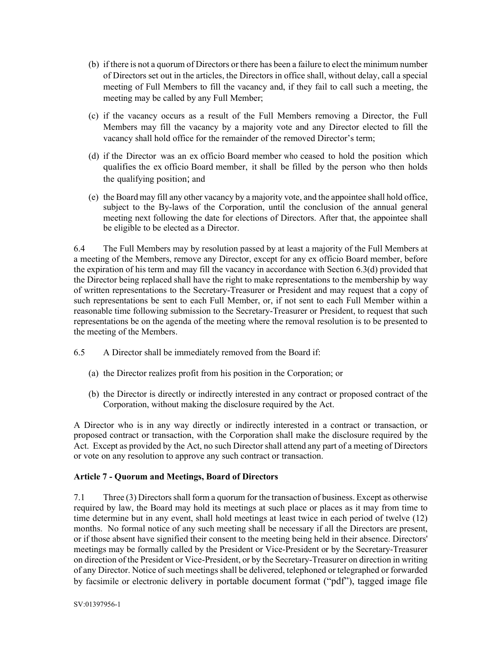- (b) if there is not a quorum of Directors or there has been a failure to elect the minimum number of Directors set out in the articles, the Directors in office shall, without delay, call a special meeting of Full Members to fill the vacancy and, if they fail to call such a meeting, the meeting may be called by any Full Member;
- (c) if the vacancy occurs as a result of the Full Members removing a Director, the Full Members may fill the vacancy by a majority vote and any Director elected to fill the vacancy shall hold office for the remainder of the removed Director's term;
- (d) if the Director was an ex officio Board member who ceased to hold the position which qualifies the ex officio Board member, it shall be filled by the person who then holds the qualifying position; and
- (e) the Board may fill any other vacancy by a majority vote, and the appointee shall hold office, subject to the By-laws of the Corporation, until the conclusion of the annual general meeting next following the date for elections of Directors. After that, the appointee shall be eligible to be elected as a Director.

6.4 The Full Members may by resolution passed by at least a majority of the Full Members at a meeting of the Members, remove any Director, except for any ex officio Board member, before the expiration of his term and may fill the vacancy in accordance with Section 6.3(d) provided that the Director being replaced shall have the right to make representations to the membership by way of written representations to the Secretary-Treasurer or President and may request that a copy of such representations be sent to each Full Member, or, if not sent to each Full Member within a reasonable time following submission to the Secretary-Treasurer or President, to request that such representations be on the agenda of the meeting where the removal resolution is to be presented to the meeting of the Members.

- 6.5 A Director shall be immediately removed from the Board if:
	- (a) the Director realizes profit from his position in the Corporation; or
	- (b) the Director is directly or indirectly interested in any contract or proposed contract of the Corporation, without making the disclosure required by the Act.

A Director who is in any way directly or indirectly interested in a contract or transaction, or proposed contract or transaction, with the Corporation shall make the disclosure required by the Act. Except as provided by the Act, no such Director shall attend any part of a meeting of Directors or vote on any resolution to approve any such contract or transaction.

# Article 7 - Quorum and Meetings, Board of Directors

7.1 Three (3) Directors shall form a quorum for the transaction of business. Except as otherwise required by law, the Board may hold its meetings at such place or places as it may from time to time determine but in any event, shall hold meetings at least twice in each period of twelve (12) months. No formal notice of any such meeting shall be necessary if all the Directors are present, or if those absent have signified their consent to the meeting being held in their absence. Directors' meetings may be formally called by the President or Vice-President or by the Secretary-Treasurer on direction of the President or Vice-President, or by the Secretary-Treasurer on direction in writing of any Director. Notice of such meetings shall be delivered, telephoned or telegraphed or forwarded by facsimile or electronic delivery in portable document format ("pdf"), tagged image file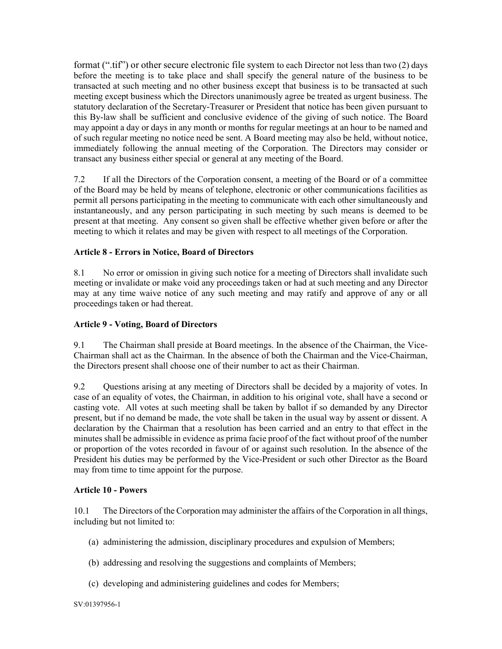format (".tif") or other secure electronic file system to each Director not less than two (2) days before the meeting is to take place and shall specify the general nature of the business to be transacted at such meeting and no other business except that business is to be transacted at such meeting except business which the Directors unanimously agree be treated as urgent business. The statutory declaration of the Secretary-Treasurer or President that notice has been given pursuant to this By-law shall be sufficient and conclusive evidence of the giving of such notice. The Board may appoint a day or days in any month or months for regular meetings at an hour to be named and of such regular meeting no notice need be sent. A Board meeting may also be held, without notice, immediately following the annual meeting of the Corporation. The Directors may consider or transact any business either special or general at any meeting of the Board.

7.2 If all the Directors of the Corporation consent, a meeting of the Board or of a committee of the Board may be held by means of telephone, electronic or other communications facilities as permit all persons participating in the meeting to communicate with each other simultaneously and instantaneously, and any person participating in such meeting by such means is deemed to be present at that meeting. Any consent so given shall be effective whether given before or after the meeting to which it relates and may be given with respect to all meetings of the Corporation.

## Article 8 - Errors in Notice, Board of Directors

8.1 No error or omission in giving such notice for a meeting of Directors shall invalidate such meeting or invalidate or make void any proceedings taken or had at such meeting and any Director may at any time waive notice of any such meeting and may ratify and approve of any or all proceedings taken or had thereat.

### Article 9 - Voting, Board of Directors

9.1 The Chairman shall preside at Board meetings. In the absence of the Chairman, the Vice-Chairman shall act as the Chairman. In the absence of both the Chairman and the Vice-Chairman, the Directors present shall choose one of their number to act as their Chairman.

9.2 Questions arising at any meeting of Directors shall be decided by a majority of votes. In case of an equality of votes, the Chairman, in addition to his original vote, shall have a second or casting vote. All votes at such meeting shall be taken by ballot if so demanded by any Director present, but if no demand be made, the vote shall be taken in the usual way by assent or dissent. A declaration by the Chairman that a resolution has been carried and an entry to that effect in the minutes shall be admissible in evidence as prima facie proof of the fact without proof of the number or proportion of the votes recorded in favour of or against such resolution. In the absence of the President his duties may be performed by the Vice-President or such other Director as the Board may from time to time appoint for the purpose.

#### Article 10 - Powers

10.1 The Directors of the Corporation may administer the affairs of the Corporation in all things, including but not limited to:

- (a) administering the admission, disciplinary procedures and expulsion of Members;
- (b) addressing and resolving the suggestions and complaints of Members;
- (c) developing and administering guidelines and codes for Members;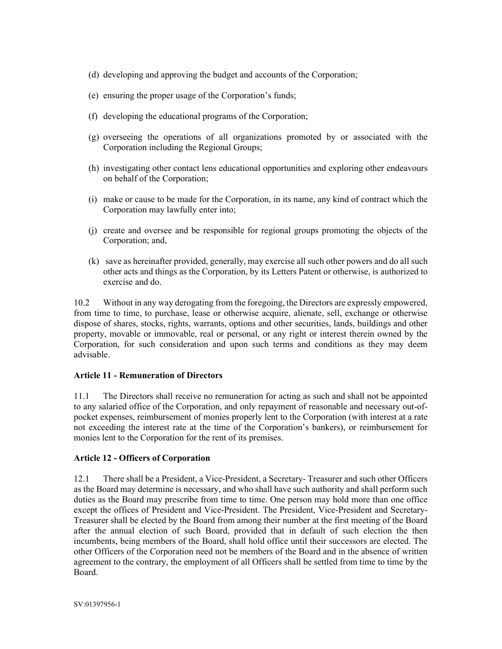- (d) developing and approving the budget and accounts of the Corporation;
- (e) ensuring the proper usage of the Corporation's funds;
- (f) developing the educational programs of the Corporation;
- (g) overseeing the operations of all organizations promoted by or associated with the Corporation including the Regional Groups;
- (h) investigating other contact lens educational opportunities and exploring other endeavours on behalf of the Corporation;
- (i) make or cause to be made for the Corporation, in its name, any kind of contract which the Corporation may lawfully enter into;
- (j) create and oversee and be responsible for regional groups promoting the objects of the Corporation; and,
- (k) save as hereinafter provided, generally, may exercise all such other powers and do all such other acts and things as the Corporation, by its Letters Patent or otherwise, is authorized to exercise and do.

10.2 Without in any way derogating from the foregoing, the Directors are expressly empowered, from time to time, to purchase, lease or otherwise acquire, alienate, sell, exchange or otherwise dispose of shares, stocks, rights, warrants, options and other securities, lands, buildings and other property, movable or immovable, real or personal, or any right or interest therein owned by the Corporation, for such consideration and upon such terms and conditions as they may deem advisable.

### Article 11 - Remuneration of Directors

11.1 The Directors shall receive no remuneration for acting as such and shall not be appointed to any salaried office of the Corporation, and only repayment of reasonable and necessary out-ofpocket expenses, reimbursement of monies properly lent to the Corporation (with interest at a rate not exceeding the interest rate at the time of the Corporation's bankers), or reimbursement for monies lent to the Corporation for the rent of its premises.

### Article 12 - Officers of Corporation

12.1 There shall be a President, a Vice-President, a Secretary- Treasurer and such other Officers as the Board may determine is necessary, and who shall have such authority and shall perform such duties as the Board may prescribe from time to time. One person may hold more than one office except the offices of President and Vice-President. The President, Vice-President and Secretary-Treasurer shall be elected by the Board from among their number at the first meeting of the Board after the annual election of such Board, provided that in default of such election the then incumbents, being members of the Board, shall hold office until their successors are elected. The other Officers of the Corporation need not be members of the Board and in the absence of written agreement to the contrary, the employment of all Officers shall be settled from time to time by the Board.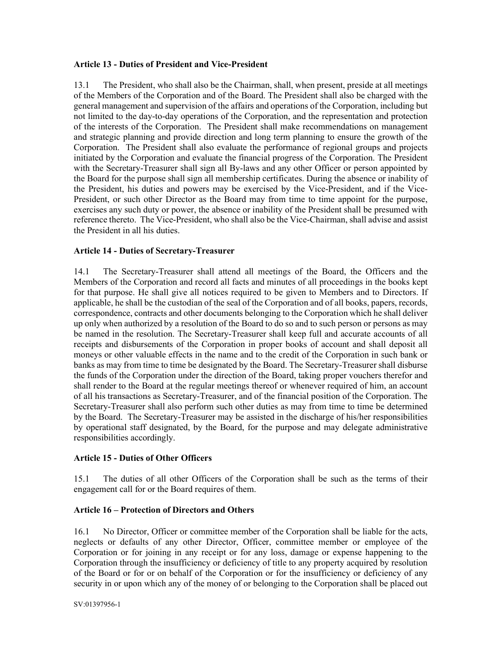#### Article 13 - Duties of President and Vice-President

13.1 The President, who shall also be the Chairman, shall, when present, preside at all meetings of the Members of the Corporation and of the Board. The President shall also be charged with the general management and supervision of the affairs and operations of the Corporation, including but not limited to the day-to-day operations of the Corporation, and the representation and protection of the interests of the Corporation. The President shall make recommendations on management and strategic planning and provide direction and long term planning to ensure the growth of the Corporation. The President shall also evaluate the performance of regional groups and projects initiated by the Corporation and evaluate the financial progress of the Corporation. The President with the Secretary-Treasurer shall sign all By-laws and any other Officer or person appointed by the Board for the purpose shall sign all membership certificates. During the absence or inability of the President, his duties and powers may be exercised by the Vice-President, and if the Vice-President, or such other Director as the Board may from time to time appoint for the purpose, exercises any such duty or power, the absence or inability of the President shall be presumed with reference thereto. The Vice-President, who shall also be the Vice-Chairman, shall advise and assist the President in all his duties.

### Article 14 - Duties of Secretary-Treasurer

14.1 The Secretary-Treasurer shall attend all meetings of the Board, the Officers and the Members of the Corporation and record all facts and minutes of all proceedings in the books kept for that purpose. He shall give all notices required to be given to Members and to Directors. If applicable, he shall be the custodian of the seal of the Corporation and of all books, papers, records, correspondence, contracts and other documents belonging to the Corporation which he shall deliver up only when authorized by a resolution of the Board to do so and to such person or persons as may be named in the resolution. The Secretary-Treasurer shall keep full and accurate accounts of all receipts and disbursements of the Corporation in proper books of account and shall deposit all moneys or other valuable effects in the name and to the credit of the Corporation in such bank or banks as may from time to time be designated by the Board. The Secretary-Treasurer shall disburse the funds of the Corporation under the direction of the Board, taking proper vouchers therefor and shall render to the Board at the regular meetings thereof or whenever required of him, an account of all his transactions as Secretary-Treasurer, and of the financial position of the Corporation. The Secretary-Treasurer shall also perform such other duties as may from time to time be determined by the Board. The Secretary-Treasurer may be assisted in the discharge of his/her responsibilities by operational staff designated, by the Board, for the purpose and may delegate administrative responsibilities accordingly.

### Article 15 - Duties of Other Officers

15.1 The duties of all other Officers of the Corporation shall be such as the terms of their engagement call for or the Board requires of them.

### Article 16 – Protection of Directors and Others

16.1 No Director, Officer or committee member of the Corporation shall be liable for the acts, neglects or defaults of any other Director, Officer, committee member or employee of the Corporation or for joining in any receipt or for any loss, damage or expense happening to the Corporation through the insufficiency or deficiency of title to any property acquired by resolution of the Board or for or on behalf of the Corporation or for the insufficiency or deficiency of any security in or upon which any of the money of or belonging to the Corporation shall be placed out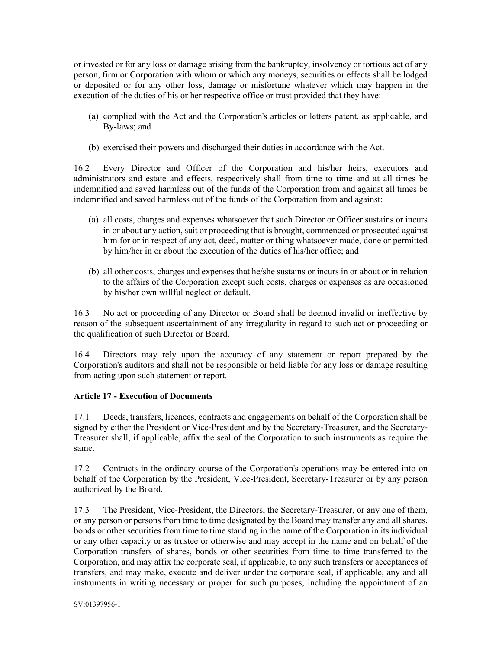or invested or for any loss or damage arising from the bankruptcy, insolvency or tortious act of any person, firm or Corporation with whom or which any moneys, securities or effects shall be lodged or deposited or for any other loss, damage or misfortune whatever which may happen in the execution of the duties of his or her respective office or trust provided that they have:

- (a) complied with the Act and the Corporation's articles or letters patent, as applicable, and By-laws; and
- (b) exercised their powers and discharged their duties in accordance with the Act.

16.2 Every Director and Officer of the Corporation and his/her heirs, executors and administrators and estate and effects, respectively shall from time to time and at all times be indemnified and saved harmless out of the funds of the Corporation from and against all times be indemnified and saved harmless out of the funds of the Corporation from and against:

- (a) all costs, charges and expenses whatsoever that such Director or Officer sustains or incurs in or about any action, suit or proceeding that is brought, commenced or prosecuted against him for or in respect of any act, deed, matter or thing whatsoever made, done or permitted by him/her in or about the execution of the duties of his/her office; and
- (b) all other costs, charges and expenses that he/she sustains or incurs in or about or in relation to the affairs of the Corporation except such costs, charges or expenses as are occasioned by his/her own willful neglect or default.

16.3 No act or proceeding of any Director or Board shall be deemed invalid or ineffective by reason of the subsequent ascertainment of any irregularity in regard to such act or proceeding or the qualification of such Director or Board.

16.4 Directors may rely upon the accuracy of any statement or report prepared by the Corporation's auditors and shall not be responsible or held liable for any loss or damage resulting from acting upon such statement or report.

# Article 17 - Execution of Documents

17.1 Deeds, transfers, licences, contracts and engagements on behalf of the Corporation shall be signed by either the President or Vice-President and by the Secretary-Treasurer, and the Secretary-Treasurer shall, if applicable, affix the seal of the Corporation to such instruments as require the same.

17.2 Contracts in the ordinary course of the Corporation's operations may be entered into on behalf of the Corporation by the President, Vice-President, Secretary-Treasurer or by any person authorized by the Board.

17.3 The President, Vice-President, the Directors, the Secretary-Treasurer, or any one of them, or any person or persons from time to time designated by the Board may transfer any and all shares, bonds or other securities from time to time standing in the name of the Corporation in its individual or any other capacity or as trustee or otherwise and may accept in the name and on behalf of the Corporation transfers of shares, bonds or other securities from time to time transferred to the Corporation, and may affix the corporate seal, if applicable, to any such transfers or acceptances of transfers, and may make, execute and deliver under the corporate seal, if applicable, any and all instruments in writing necessary or proper for such purposes, including the appointment of an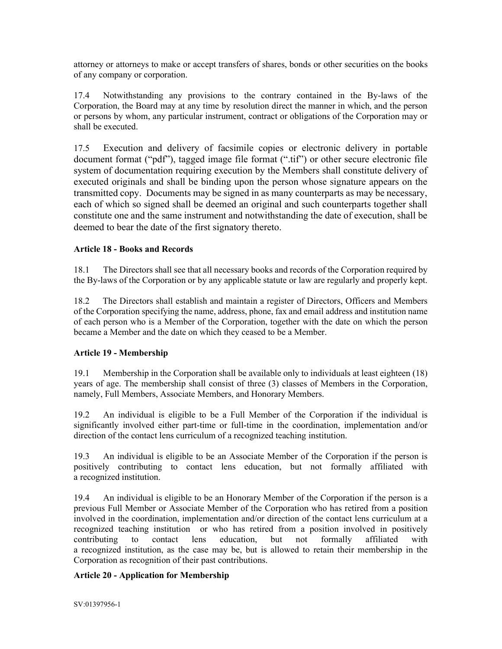attorney or attorneys to make or accept transfers of shares, bonds or other securities on the books of any company or corporation.

17.4 Notwithstanding any provisions to the contrary contained in the By-laws of the Corporation, the Board may at any time by resolution direct the manner in which, and the person or persons by whom, any particular instrument, contract or obligations of the Corporation may or shall be executed.

17.5 Execution and delivery of facsimile copies or electronic delivery in portable document format ("pdf"), tagged image file format (".tif") or other secure electronic file system of documentation requiring execution by the Members shall constitute delivery of executed originals and shall be binding upon the person whose signature appears on the transmitted copy. Documents may be signed in as many counterparts as may be necessary, each of which so signed shall be deemed an original and such counterparts together shall constitute one and the same instrument and notwithstanding the date of execution, shall be deemed to bear the date of the first signatory thereto.

#### Article 18 - Books and Records

18.1 The Directors shall see that all necessary books and records of the Corporation required by the By-laws of the Corporation or by any applicable statute or law are regularly and properly kept.

18.2 The Directors shall establish and maintain a register of Directors, Officers and Members of the Corporation specifying the name, address, phone, fax and email address and institution name of each person who is a Member of the Corporation, together with the date on which the person became a Member and the date on which they ceased to be a Member.

### Article 19 - Membership

19.1 Membership in the Corporation shall be available only to individuals at least eighteen (18) years of age. The membership shall consist of three (3) classes of Members in the Corporation, namely, Full Members, Associate Members, and Honorary Members.

19.2 An individual is eligible to be a Full Member of the Corporation if the individual is significantly involved either part-time or full-time in the coordination, implementation and/or direction of the contact lens curriculum of a recognized teaching institution.

19.3 An individual is eligible to be an Associate Member of the Corporation if the person is positively contributing to contact lens education, but not formally affiliated with a recognized institution.

19.4 An individual is eligible to be an Honorary Member of the Corporation if the person is a previous Full Member or Associate Member of the Corporation who has retired from a position involved in the coordination, implementation and/or direction of the contact lens curriculum at a recognized teaching institution or who has retired from a position involved in positively contributing to contact lens education, but not formally affiliated with a recognized institution, as the case may be, but is allowed to retain their membership in the Corporation as recognition of their past contributions.

### Article 20 - Application for Membership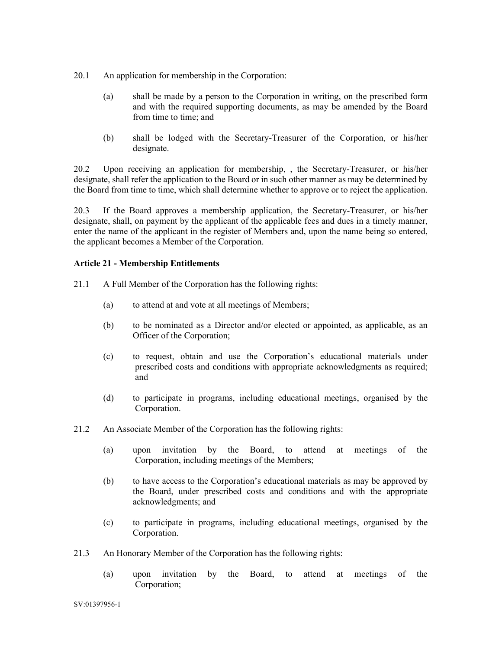- 20.1 An application for membership in the Corporation:
	- (a) shall be made by a person to the Corporation in writing, on the prescribed form and with the required supporting documents, as may be amended by the Board from time to time; and
	- (b) shall be lodged with the Secretary-Treasurer of the Corporation, or his/her designate.

20.2 Upon receiving an application for membership, , the Secretary-Treasurer, or his/her designate, shall refer the application to the Board or in such other manner as may be determined by the Board from time to time, which shall determine whether to approve or to reject the application.

20.3 If the Board approves a membership application, the Secretary-Treasurer, or his/her designate, shall, on payment by the applicant of the applicable fees and dues in a timely manner, enter the name of the applicant in the register of Members and, upon the name being so entered, the applicant becomes a Member of the Corporation.

### Article 21 - Membership Entitlements

- 21.1 A Full Member of the Corporation has the following rights:
	- (a) to attend at and vote at all meetings of Members;
	- (b) to be nominated as a Director and/or elected or appointed, as applicable, as an Officer of the Corporation;
	- (c) to request, obtain and use the Corporation's educational materials under prescribed costs and conditions with appropriate acknowledgments as required; and
	- (d) to participate in programs, including educational meetings, organised by the Corporation.
- 21.2 An Associate Member of the Corporation has the following rights:
	- (a) upon invitation by the Board, to attend at meetings of the Corporation, including meetings of the Members;
	- (b) to have access to the Corporation's educational materials as may be approved by the Board, under prescribed costs and conditions and with the appropriate acknowledgments; and
	- (c) to participate in programs, including educational meetings, organised by the Corporation.
- 21.3 An Honorary Member of the Corporation has the following rights:
	- (a) upon invitation by the Board, to attend at meetings of the Corporation;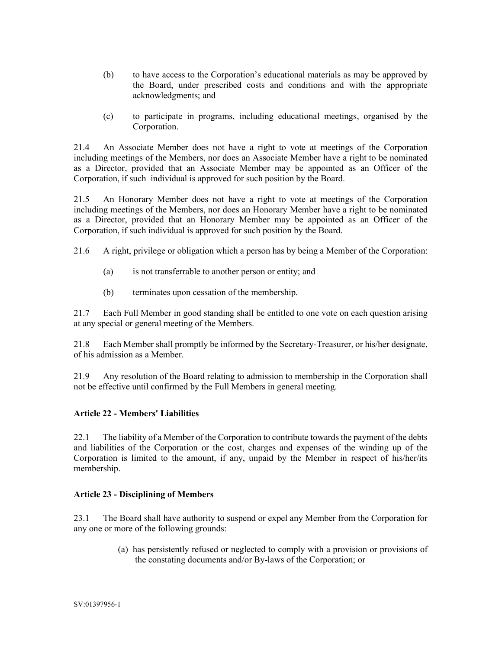- (b) to have access to the Corporation's educational materials as may be approved by the Board, under prescribed costs and conditions and with the appropriate acknowledgments; and
- (c) to participate in programs, including educational meetings, organised by the Corporation.

21.4 An Associate Member does not have a right to vote at meetings of the Corporation including meetings of the Members, nor does an Associate Member have a right to be nominated as a Director, provided that an Associate Member may be appointed as an Officer of the Corporation, if such individual is approved for such position by the Board.

21.5 An Honorary Member does not have a right to vote at meetings of the Corporation including meetings of the Members, nor does an Honorary Member have a right to be nominated as a Director, provided that an Honorary Member may be appointed as an Officer of the Corporation, if such individual is approved for such position by the Board.

- 21.6 A right, privilege or obligation which a person has by being a Member of the Corporation:
	- (a) is not transferrable to another person or entity; and
	- (b) terminates upon cessation of the membership.

21.7 Each Full Member in good standing shall be entitled to one vote on each question arising at any special or general meeting of the Members.

21.8 Each Member shall promptly be informed by the Secretary-Treasurer, or his/her designate, of his admission as a Member.

21.9 Any resolution of the Board relating to admission to membership in the Corporation shall not be effective until confirmed by the Full Members in general meeting.

### Article 22 - Members' Liabilities

22.1 The liability of a Member of the Corporation to contribute towards the payment of the debts and liabilities of the Corporation or the cost, charges and expenses of the winding up of the Corporation is limited to the amount, if any, unpaid by the Member in respect of his/her/its membership.

### Article 23 - Disciplining of Members

23.1 The Board shall have authority to suspend or expel any Member from the Corporation for any one or more of the following grounds:

> (a) has persistently refused or neglected to comply with a provision or provisions of the constating documents and/or By-laws of the Corporation; or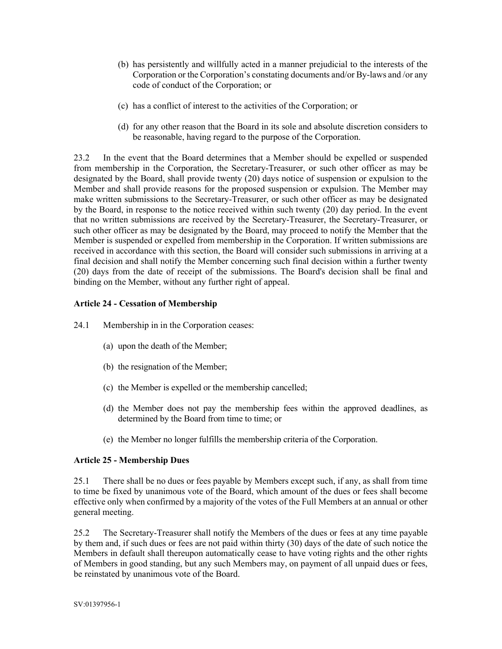- (b) has persistently and willfully acted in a manner prejudicial to the interests of the Corporation or the Corporation's constating documents and/or By-laws and /or any code of conduct of the Corporation; or
- (c) has a conflict of interest to the activities of the Corporation; or
- (d) for any other reason that the Board in its sole and absolute discretion considers to be reasonable, having regard to the purpose of the Corporation.

23.2 In the event that the Board determines that a Member should be expelled or suspended from membership in the Corporation, the Secretary-Treasurer, or such other officer as may be designated by the Board, shall provide twenty (20) days notice of suspension or expulsion to the Member and shall provide reasons for the proposed suspension or expulsion. The Member may make written submissions to the Secretary-Treasurer, or such other officer as may be designated by the Board, in response to the notice received within such twenty (20) day period. In the event that no written submissions are received by the Secretary-Treasurer, the Secretary-Treasurer, or such other officer as may be designated by the Board, may proceed to notify the Member that the Member is suspended or expelled from membership in the Corporation. If written submissions are received in accordance with this section, the Board will consider such submissions in arriving at a final decision and shall notify the Member concerning such final decision within a further twenty (20) days from the date of receipt of the submissions. The Board's decision shall be final and binding on the Member, without any further right of appeal.

# Article 24 - Cessation of Membership

- 24.1 Membership in in the Corporation ceases:
	- (a) upon the death of the Member;
	- (b) the resignation of the Member;
	- (c) the Member is expelled or the membership cancelled;
	- (d) the Member does not pay the membership fees within the approved deadlines, as determined by the Board from time to time; or
	- (e) the Member no longer fulfills the membership criteria of the Corporation.

### Article 25 - Membership Dues

25.1 There shall be no dues or fees payable by Members except such, if any, as shall from time to time be fixed by unanimous vote of the Board, which amount of the dues or fees shall become effective only when confirmed by a majority of the votes of the Full Members at an annual or other general meeting.

25.2 The Secretary-Treasurer shall notify the Members of the dues or fees at any time payable by them and, if such dues or fees are not paid within thirty (30) days of the date of such notice the Members in default shall thereupon automatically cease to have voting rights and the other rights of Members in good standing, but any such Members may, on payment of all unpaid dues or fees, be reinstated by unanimous vote of the Board.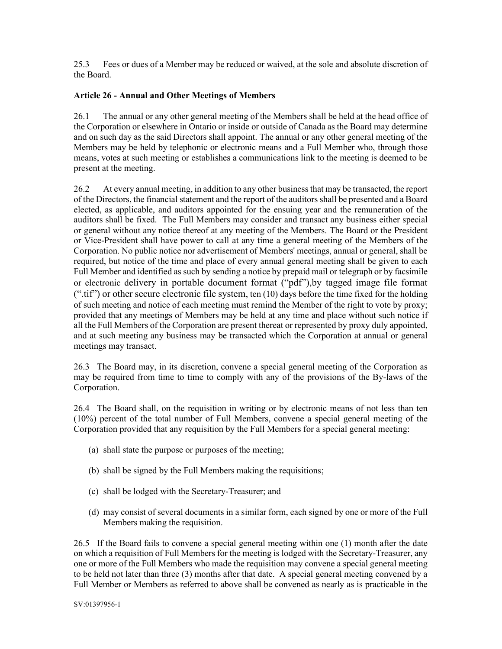25.3 Fees or dues of a Member may be reduced or waived, at the sole and absolute discretion of the Board.

## Article 26 - Annual and Other Meetings of Members

26.1 The annual or any other general meeting of the Members shall be held at the head office of the Corporation or elsewhere in Ontario or inside or outside of Canada as the Board may determine and on such day as the said Directors shall appoint. The annual or any other general meeting of the Members may be held by telephonic or electronic means and a Full Member who, through those means, votes at such meeting or establishes a communications link to the meeting is deemed to be present at the meeting.

26.2 At every annual meeting, in addition to any other business that may be transacted, the report of the Directors, the financial statement and the report of the auditors shall be presented and a Board elected, as applicable, and auditors appointed for the ensuing year and the remuneration of the auditors shall be fixed. The Full Members may consider and transact any business either special or general without any notice thereof at any meeting of the Members. The Board or the President or Vice-President shall have power to call at any time a general meeting of the Members of the Corporation. No public notice nor advertisement of Members' meetings, annual or general, shall be required, but notice of the time and place of every annual general meeting shall be given to each Full Member and identified as such by sending a notice by prepaid mail or telegraph or by facsimile or electronic delivery in portable document format ("pdf"),by tagged image file format  $("tif")$  or other secure electronic file system, ten  $(10)$  days before the time fixed for the holding of such meeting and notice of each meeting must remind the Member of the right to vote by proxy; provided that any meetings of Members may be held at any time and place without such notice if all the Full Members of the Corporation are present thereat or represented by proxy duly appointed, and at such meeting any business may be transacted which the Corporation at annual or general meetings may transact.

26.3 The Board may, in its discretion, convene a special general meeting of the Corporation as may be required from time to time to comply with any of the provisions of the By-laws of the Corporation.

26.4 The Board shall, on the requisition in writing or by electronic means of not less than ten (10%) percent of the total number of Full Members, convene a special general meeting of the Corporation provided that any requisition by the Full Members for a special general meeting:

- (a) shall state the purpose or purposes of the meeting;
- (b) shall be signed by the Full Members making the requisitions;
- (c) shall be lodged with the Secretary-Treasurer; and
- (d) may consist of several documents in a similar form, each signed by one or more of the Full Members making the requisition.

26.5 If the Board fails to convene a special general meeting within one (1) month after the date on which a requisition of Full Members for the meeting is lodged with the Secretary-Treasurer, any one or more of the Full Members who made the requisition may convene a special general meeting to be held not later than three (3) months after that date. A special general meeting convened by a Full Member or Members as referred to above shall be convened as nearly as is practicable in the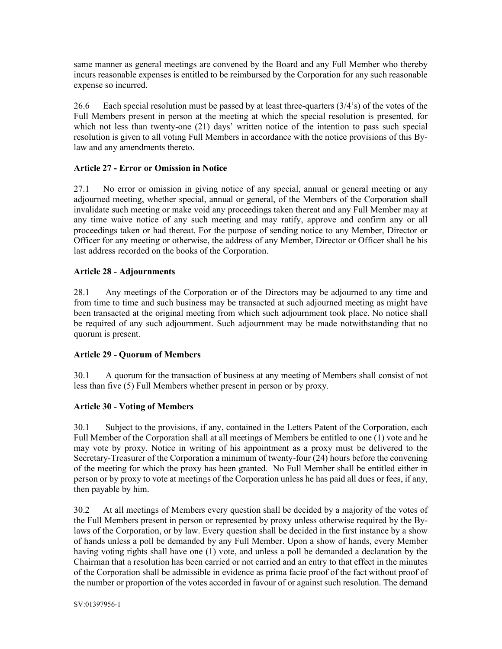same manner as general meetings are convened by the Board and any Full Member who thereby incurs reasonable expenses is entitled to be reimbursed by the Corporation for any such reasonable expense so incurred.

26.6 Each special resolution must be passed by at least three-quarters (3/4's) of the votes of the Full Members present in person at the meeting at which the special resolution is presented, for which not less than twenty-one (21) days' written notice of the intention to pass such special resolution is given to all voting Full Members in accordance with the notice provisions of this Bylaw and any amendments thereto.

## Article 27 - Error or Omission in Notice

27.1 No error or omission in giving notice of any special, annual or general meeting or any adjourned meeting, whether special, annual or general, of the Members of the Corporation shall invalidate such meeting or make void any proceedings taken thereat and any Full Member may at any time waive notice of any such meeting and may ratify, approve and confirm any or all proceedings taken or had thereat. For the purpose of sending notice to any Member, Director or Officer for any meeting or otherwise, the address of any Member, Director or Officer shall be his last address recorded on the books of the Corporation.

### Article 28 - Adjournments

28.1 Any meetings of the Corporation or of the Directors may be adjourned to any time and from time to time and such business may be transacted at such adjourned meeting as might have been transacted at the original meeting from which such adjournment took place. No notice shall be required of any such adjournment. Such adjournment may be made notwithstanding that no quorum is present.

### Article 29 - Quorum of Members

30.1 A quorum for the transaction of business at any meeting of Members shall consist of not less than five (5) Full Members whether present in person or by proxy.

# Article 30 - Voting of Members

30.1 Subject to the provisions, if any, contained in the Letters Patent of the Corporation, each Full Member of the Corporation shall at all meetings of Members be entitled to one (1) vote and he may vote by proxy. Notice in writing of his appointment as a proxy must be delivered to the Secretary-Treasurer of the Corporation a minimum of twenty-four (24) hours before the convening of the meeting for which the proxy has been granted. No Full Member shall be entitled either in person or by proxy to vote at meetings of the Corporation unless he has paid all dues or fees, if any, then payable by him.

30.2 At all meetings of Members every question shall be decided by a majority of the votes of the Full Members present in person or represented by proxy unless otherwise required by the Bylaws of the Corporation, or by law. Every question shall be decided in the first instance by a show of hands unless a poll be demanded by any Full Member. Upon a show of hands, every Member having voting rights shall have one (1) vote, and unless a poll be demanded a declaration by the Chairman that a resolution has been carried or not carried and an entry to that effect in the minutes of the Corporation shall be admissible in evidence as prima facie proof of the fact without proof of the number or proportion of the votes accorded in favour of or against such resolution. The demand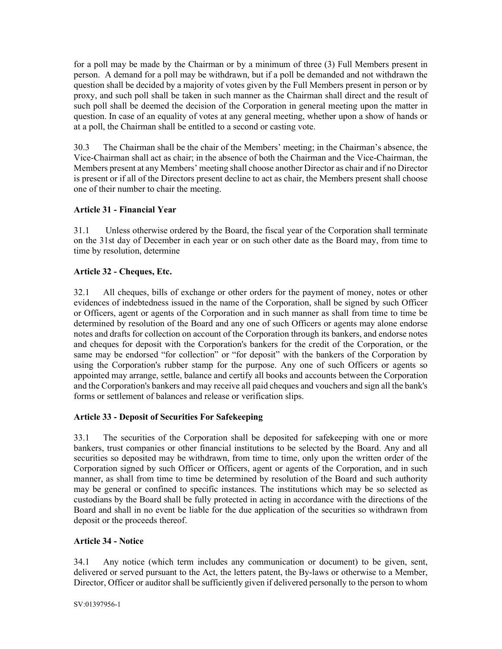for a poll may be made by the Chairman or by a minimum of three (3) Full Members present in person. A demand for a poll may be withdrawn, but if a poll be demanded and not withdrawn the question shall be decided by a majority of votes given by the Full Members present in person or by proxy, and such poll shall be taken in such manner as the Chairman shall direct and the result of such poll shall be deemed the decision of the Corporation in general meeting upon the matter in question. In case of an equality of votes at any general meeting, whether upon a show of hands or at a poll, the Chairman shall be entitled to a second or casting vote.

30.3 The Chairman shall be the chair of the Members' meeting; in the Chairman's absence, the Vice-Chairman shall act as chair; in the absence of both the Chairman and the Vice-Chairman, the Members present at any Members' meeting shall choose another Director as chair and if no Director is present or if all of the Directors present decline to act as chair, the Members present shall choose one of their number to chair the meeting.

# Article 31 - Financial Year

31.1 Unless otherwise ordered by the Board, the fiscal year of the Corporation shall terminate on the 31st day of December in each year or on such other date as the Board may, from time to time by resolution, determine

## Article 32 - Cheques, Etc.

32.1 All cheques, bills of exchange or other orders for the payment of money, notes or other evidences of indebtedness issued in the name of the Corporation, shall be signed by such Officer or Officers, agent or agents of the Corporation and in such manner as shall from time to time be determined by resolution of the Board and any one of such Officers or agents may alone endorse notes and drafts for collection on account of the Corporation through its bankers, and endorse notes and cheques for deposit with the Corporation's bankers for the credit of the Corporation, or the same may be endorsed "for collection" or "for deposit" with the bankers of the Corporation by using the Corporation's rubber stamp for the purpose. Any one of such Officers or agents so appointed may arrange, settle, balance and certify all books and accounts between the Corporation and the Corporation's bankers and may receive all paid cheques and vouchers and sign all the bank's forms or settlement of balances and release or verification slips.

# Article 33 - Deposit of Securities For Safekeeping

33.1 The securities of the Corporation shall be deposited for safekeeping with one or more bankers, trust companies or other financial institutions to be selected by the Board. Any and all securities so deposited may be withdrawn, from time to time, only upon the written order of the Corporation signed by such Officer or Officers, agent or agents of the Corporation, and in such manner, as shall from time to time be determined by resolution of the Board and such authority may be general or confined to specific instances. The institutions which may be so selected as custodians by the Board shall be fully protected in acting in accordance with the directions of the Board and shall in no event be liable for the due application of the securities so withdrawn from deposit or the proceeds thereof.

### Article 34 - Notice

34.1 Any notice (which term includes any communication or document) to be given, sent, delivered or served pursuant to the Act, the letters patent, the By-laws or otherwise to a Member, Director, Officer or auditor shall be sufficiently given if delivered personally to the person to whom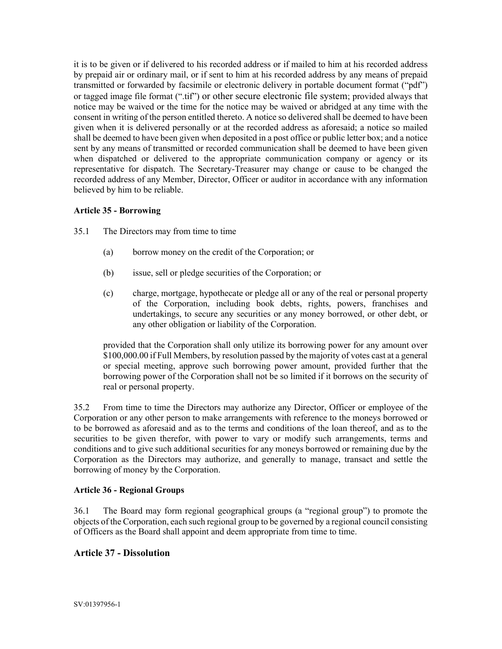it is to be given or if delivered to his recorded address or if mailed to him at his recorded address by prepaid air or ordinary mail, or if sent to him at his recorded address by any means of prepaid transmitted or forwarded by facsimile or electronic delivery in portable document format ("pdf") or tagged image file format (".tif") or other secure electronic file system; provided always that notice may be waived or the time for the notice may be waived or abridged at any time with the consent in writing of the person entitled thereto. A notice so delivered shall be deemed to have been given when it is delivered personally or at the recorded address as aforesaid; a notice so mailed shall be deemed to have been given when deposited in a post office or public letter box; and a notice sent by any means of transmitted or recorded communication shall be deemed to have been given when dispatched or delivered to the appropriate communication company or agency or its representative for dispatch. The Secretary-Treasurer may change or cause to be changed the recorded address of any Member, Director, Officer or auditor in accordance with any information believed by him to be reliable.

## Article 35 - Borrowing

- 35.1 The Directors may from time to time
	- (a) borrow money on the credit of the Corporation; or
	- (b) issue, sell or pledge securities of the Corporation; or
	- (c) charge, mortgage, hypothecate or pledge all or any of the real or personal property of the Corporation, including book debts, rights, powers, franchises and undertakings, to secure any securities or any money borrowed, or other debt, or any other obligation or liability of the Corporation.

provided that the Corporation shall only utilize its borrowing power for any amount over \$100,000.00 if Full Members, by resolution passed by the majority of votes cast at a general or special meeting, approve such borrowing power amount, provided further that the borrowing power of the Corporation shall not be so limited if it borrows on the security of real or personal property.

35.2 From time to time the Directors may authorize any Director, Officer or employee of the Corporation or any other person to make arrangements with reference to the moneys borrowed or to be borrowed as aforesaid and as to the terms and conditions of the loan thereof, and as to the securities to be given therefor, with power to vary or modify such arrangements, terms and conditions and to give such additional securities for any moneys borrowed or remaining due by the Corporation as the Directors may authorize, and generally to manage, transact and settle the borrowing of money by the Corporation.

### Article 36 - Regional Groups

36.1 The Board may form regional geographical groups (a "regional group") to promote the objects of the Corporation, each such regional group to be governed by a regional council consisting of Officers as the Board shall appoint and deem appropriate from time to time.

# Article 37 - Dissolution